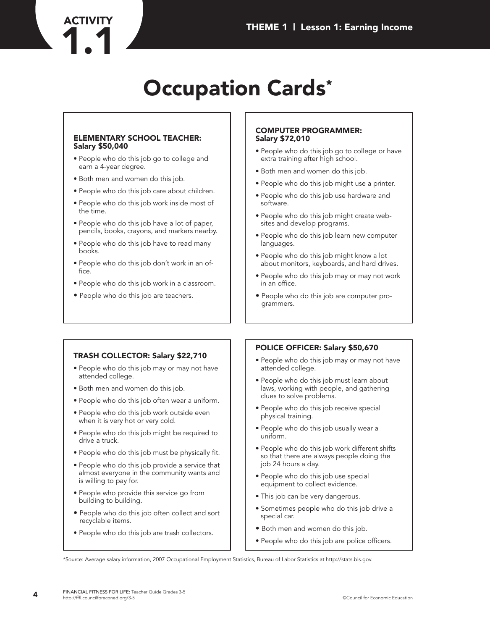# **Occupation Cards\***

#### **ELEMENTARY SCHOOL TEACHER: Salary \$50,040**

- People who do this job go to college and earn a 4-year degree.
- Both men and women do this job.

**ACTIVITY**

- People who do this job care about children.
- People who do this job work inside most of the time.
- People who do this job have a lot of paper, pencils, books, crayons, and markers nearby.
- People who do this job have to read many books.
- People who do this job don't work in an office.
- People who do this job work in a classroom.
- People who do this job are teachers.

#### **COMPUTER PROGRAMMER: Salary \$72,010**

- People who do this job go to college or have extra training after high school.
- Both men and women do this job.
- People who do this job might use a printer.
- People who do this job use hardware and software.
- People who do this job might create websites and develop programs.
- People who do this job learn new computer languages.
- People who do this job might know a lot about monitors, keyboards, and hard drives.
- People who do this job may or may not work in an office.
- People who do this job are computer programmers.

## **TRASH COLLECTOR: Salary \$22,710**

- People who do this job may or may not have attended college.
- Both men and women do this job.
- People who do this job often wear a uniform.
- People who do this job work outside even when it is very hot or very cold.
- People who do this job might be required to drive a truck.
- People who do this job must be physically fit.
- People who do this job provide a service that almost everyone in the community wants and is willing to pay for.
- People who provide this service go from building to building.
- People who do this job often collect and sort recyclable items.
- People who do this job are trash collectors.

## **POLICE OFFICER: Salary \$50,670**

- People who do this job may or may not have attended college.
- People who do this job must learn about laws, working with people, and gathering clues to solve problems.
- People who do this job receive special physical training.
- People who do this job usually wear a uniform.
- People who do this job work different shifts so that there are always people doing the job 24 hours a day.
- People who do this job use special equipment to collect evidence.
- This job can be very dangerous.
- Sometimes people who do this job drive a special car.
- Both men and women do this job.
- People who do this job are police officers.

\*Source: Average salary information, 2007 Occupational Employment Statistics, Bureau of Labor Statistics at http://stats.bls.gov.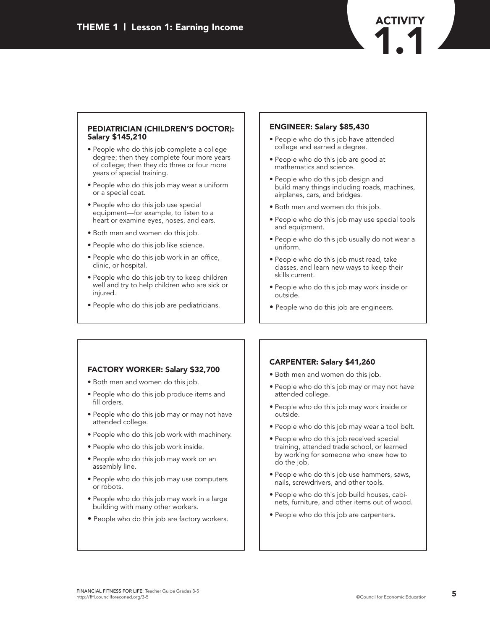### **PEDIATRICIAN (CHILDREN'S DOCTOR): Salary \$145,210**

- People who do this job complete a college degree; then they complete four more years of college; then they do three or four more years of special training.
- People who do this job may wear a uniform or a special coat.
- People who do this job use special equipment—for example, to listen to a heart or examine eyes, noses, and ears.
- Both men and women do this job.
- People who do this job like science.
- People who do this job work in an office, clinic, or hospital.
- People who do this job try to keep children well and try to help children who are sick or injured.
- People who do this job are pediatricians.

## **ENGINEER: Salary \$85,430**

- People who do this job have attended college and earned a degree.
- People who do this job are good at mathematics and science.
- People who do this job design and build many things including roads, machines, airplanes, cars, and bridges.
- Both men and women do this job.
- People who do this job may use special tools and equipment.
- People who do this job usually do not wear a uniform.
- People who do this job must read, take classes, and learn new ways to keep their skills current.
- People who do this job may work inside or outside.
- People who do this job are engineers.

## **FACTORY WORKER: Salary \$32,700**

- Both men and women do this job.
- People who do this job produce items and fill orders.
- People who do this job may or may not have attended college.
- People who do this job work with machinery.
- People who do this job work inside.
- People who do this job may work on an assembly line.
- People who do this job may use computers or robots.
- People who do this job may work in a large building with many other workers.
- People who do this job are factory workers.

## **CARPENTER: Salary \$41,260**

- Both men and women do this job.
- People who do this job may or may not have attended college.
- People who do this job may work inside or outside.
- People who do this job may wear a tool belt.
- People who do this job received special training, attended trade school, or learned by working for someone who knew how to do the job.
- People who do this job use hammers, saws, nails, screwdrivers, and other tools.
- People who do this job build houses, cabinets, furniture, and other items out of wood.
- People who do this job are carpenters.